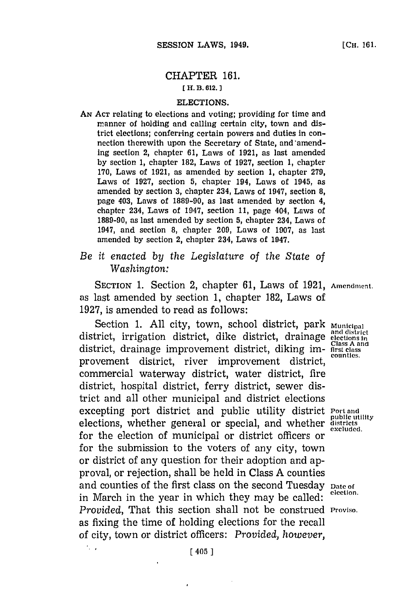# CHAPTER **161.**

### **EH. B. 012.]1**

#### ELECTIONS.

**AN~ ACT** relating to elections and voting; providing for time and manner of holding and calling certain city, town and district elections; conferring certain powers and duties in connection therewith upon the Secretary of State, and amend-Ing section 2, chapter **61,** Laws of **1921,** as last amended **by** section **1,** chapter 182, Laws of **1927,** section **1,** chapter **170,** Laws of **1921,** as amended **by** section **1,** chapter **279,** Laws of **1927,** section **5,** chapter 194, Laws of 1945, as amended **by** section **3,** chapter 234, Laws of 1947, section **8,** page 403, Laws of **1889-90,** as last amended **by** section 4, chapter 234, Laws of 1947, section **11,** page 404, Laws of **1889-90,** as last amended **by** section **5,** chapter 234, Laws of 1947, and section **8,** chapter **209,** Laws of **1907,** as last amended **by** section 2, chapter 234, Laws of 1947.

## *Be it enacted by the Legislature of the State of Washington:*

SECTION **1.** Section 2, chapter **61,** Laws of **1921, Amendmient.** as last amended **by** section **1,** chapter **182,** Laws of **1927,** is amended to read as follows:

Section **1. All** city, town, school district, park **municipal** district, irrigation district, dike district, drainage **elections In** district, drainage improvement district, diking im- **first class** A and provement district, river improvement district, countles. commercial waterway district, water district, fire district, hospital district, ferry district, sewer district and all other municipal and district elections excepting port district and public utility district **Port and public utility** elections, whether general or special, and whether **districts** for the election of municipal or district officers or for the submission to the voters of any city, town or district of any question for their adoption and approval, or rejection, shall be held in Class **A** counties and counties of the first class on the second Tuesday **Date of**<br>the class of the first class on the second Tuesday **Plus** election. in March in the year in which they may be called: *Provided,* That this section shall not be construed **Proviso.** as fixing the time of holding elections for the recall of city, town or district officers: *Provided, however,*

 $\cdot$ .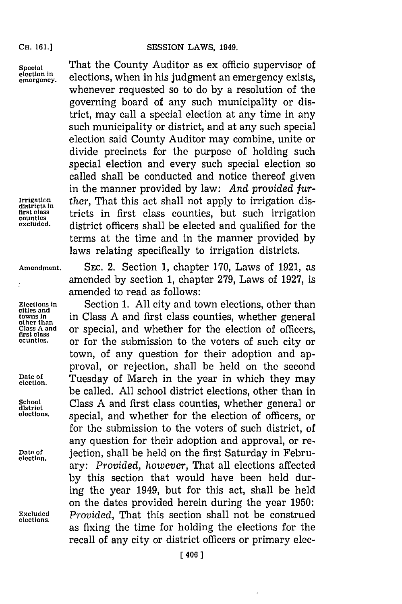#### **CH. 01.]SESSION LAWS, 1949.**

**CH. 161.]**

 $\ddot{\cdot}$ 

**Special** That the County Auditor as ex officio supervisor of election in elections, when in his judgment an emergency exists, whenever requested so to do **by** a resolution of the governing board of any such municipality or district, may call a special election at any time in any such municipality or district, and at any such special election said County Auditor may combine, unite or divide precincts for the purpose of holding such special election and every such special election so called shall be conducted and notice thereof given in the manner provided **by** law: *And provided fur-*Irrigation *ther*, That this act shall not apply to irrigation districts in the first class counties but such irrigation **first class** tricts in first class counties, but such irrigation **counties** district officers shall be elected and qualified for the terms at the time and in the manner provided **by** laws relating specifically to irrigation districts.

**Amendment. SEc.** 2. Section **1,** chapter **170,** Laws of **1921,** as amended **by** section **1,** chapter **279,** Laws of **1927,** is amended to read as follows:

Elections in **Section 1.** All city and town elections, other than times and **cities** and **cities** and **first** class counties, whether general towns in **in Class A** and first class counties, whether general other than<br>
class A and **or special and whether for the election** of officers Class A and **or special, and whether for the election of officers, first class** counties. **or for the submission to the voters of such city or ccunties.** or for the submission to the voters of such city or town, of any question for their adoption and approval, or rejection, shall be held on the second provai, or rejection, shall be held on the second<br>election. Tuesday of March in the year in which they may be called. **All** school district elections, other than in School **Class A** and first class counties, whether general or district<br>elections, **proprietion** special and whether for the election of officers or special, and whether for the election of officers, or for the submission to the voters of such district, of any question for their adoption and approval, or re-Date of gettion, shall be held on the first Saturday in February: *Provided, however,* That all elections affected **by** this section that would have been held during the year 1949, but for this act, shall be held on the dates provided herein during the year **1950:** Excluded *Provided*, That this section shall not be construed as fixing the time for holding the elections for the recall of any city or district officers or primary elec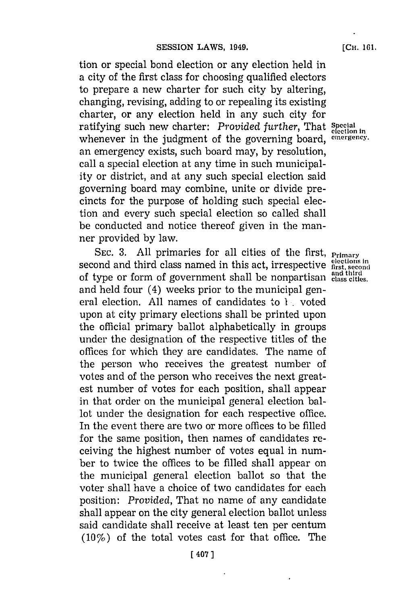tion or special bond election or any election held in a city of the first class for choosing qualified electors to prepare a new charter for such city **by** altering, changing, revising, adding to or repealing its existing charter, or any election held in any such city for ratifying such new charter: *Provided further*, That Special whenever in the judgment of the governing board, emergency. an emergency exists, such board may, **by** resolution, call a special election at any time in such municipality or district, and at any such special election said governing board may combine, unite or divide precincts for the purpose of holding such special election and every such special election so called shall be conducted and notice thereof given in the manner provided **by** law.

**SEC. 3. All** primaries for all cities of the first, **Primary** second and third class named in this act, irrespective **first, seconid and third** of type or form of government shall be nonpartisan **class cities.** and held four (4) weeks prior to the municipal general election. **All** names of candidates to **I** voted upon at city primary elections shall be printed upon the official primary ballot alphabetically in groups under the designation of the respective titles of the offices for which they are candidates. The name of the person who receives the greatest number of votes and of the person who receives the next greatest number of votes for each position, shall appear in that order on the municipal general election ballot under the designation for each respective office. In the event there are two or more offices to be filled for the same position, then names of candidates receiving the highest number of votes equal in number to twice the offices to be filled shall appear on the municipal general election ballot so that the voter shall have a choice of two candidates for each position: *Provided,* That no name of any candidate shall appear on the city general election ballot unless said candidate shall receive at least ten per centum  $(10\%)$  of the total votes cast for that office. The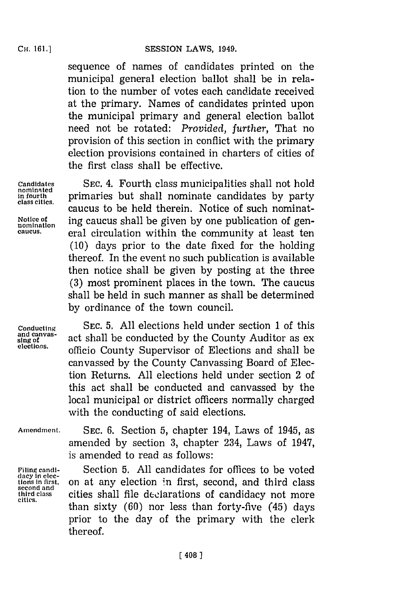sequence of names of candidates printed on the municipal general election ballot shall be in relation to the number of votes each candidate received at the primary. Names of candidates printed upon the municipal primary and general election ballot need not be rotated: *Provided, further,* That no provision of this section in conflict with the primary election provisions contained in charters of cities of the first class shall be effective.

**nominated**

**Candidates SEC.** 4. Fourth class municipalities shall not hold **in fourth** primaries but shall nominate candidates **by** party caucus to be held therein. Notice of such nominat-Notice of **ing caucus shall be given by one publication of gencaucus.** eral circulation within the community at least ten **(10)** days prior to the date fixed for the holding thereof. In the event no such publication is available then notice shall be given **by** posting at the three **(3)** most prominent places in the town. The caucus shall be held in such manner as shall be determined **by** ordinance of the town council.

**Conducting SEC. 5. All** elections held under section **1** of this and canvas **sing of variable conducted by the County Auditor as ex**<br>elections. **elections,** officio County Supervisor of Elections and shall be canvassed **by** the County Canvassing Board of Election Returns. **All** elections held under section 2 of this act shall be conducted and canvassed **by** the local municipal or district officers normally charged with the conducting of said elections.

**dacy in elec-**

**Amendment. SEC. 6.** Section **5,** chapter 194, Laws of 1945, as amended **by** section **3,** chapter 234, Laws of 1947, is amended to read as follows:

**Filing candi-** Section **5. All** candidates for offices to be voted tions in first, on at any election in first, second, and third class second and **third class** cities shall file declarations of candidacy not more **cities.** than sixty **(60)** nor less than forty-five (45) days prior to the day of the primary with the clerk thereof.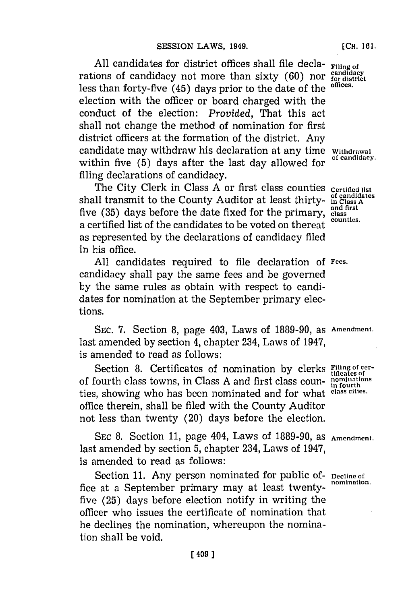**All** candidates for district offices shall file decla- **Filing of** rations of candidacy not more than sixty  $(60)$  nor  $\frac{\text{candidate}}{\text{for}}$  district leads to the offices. less than forty-five (45) days prior to the date of the election with the officer or board charged with the conduct of the election: *Provided,* That this act shall not change the method of nomination for first district officers at the formation of the district. Any candidate may withdraw his declaration at any time withdrawal within five (5) days after the last day allowed for filing declarations of candidacy.

The City Clerk in Class **A** or first class counties **Certifled list** shall transmit to the County Auditor at least thirty- **in Class A**<br>for (25) draw heters the data for the first and first five (35) days before the date fixed for the primary, class counties. a certified list of the candidates to be voted on thereat as represented **by** the declarations of candidacy filed in his office.

**All** candidates required to file declaration **of Fees.** candidacy shall pay the same fees and be governed **by** the same rules as obtain with respect to candidates for nomination at the September primary elections.

**SEC.** *'7.* Section **8,** page 403, Laws of **1889-90,** as **Amendment.** last amended **by** section 4, chapter 234, Laws of 1947, is amended to read as follows:

Section 8. Certificates of nomination by clerks **Filing of cer**of fourth class towns, in Class **A** and first class coun- **nominaions** ties, showing who has been nominated and for what **class cities.** office therein, shall be filed with the County Auditor not less than twenty (20) days before the election.

SEC 8. Section 11, page 404, Laws of 1889-90, as Amendment. last amended **by** section **5,** chapter 234, Laws of 1947, is amended to read as follows:

Section 11. Any person nominated for public of- Decline of nomination. fice at a September primary may at least twentyfive **(25)** days before election notify in writing the officer who issues the certificate of nomination that he declines the nomination, whereupon the nomination shall be void.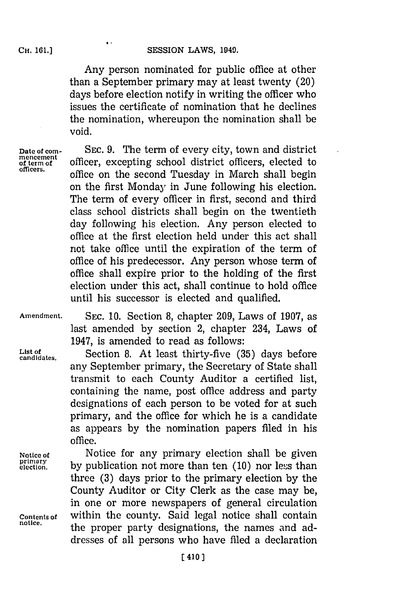Any person nominated for public office at other than a September primary may at least twenty (20) days before election notify in writing the officer who issues the certificate of nomination that he declines the nomination, whereupon the nomination shall be void.

**mencement**

**Date of corn- SEC. 9.** The term of every city, town and district mencement officer, excepting school district officers, elected to officers. office on the second Tuesday in March shall begin on the first Monday in June following his election. The term of every officer in first, second and third class school districts shall begin on the twentieth day following his election. Any person elected to office at the first election held under this act shall not take office until the expiration of the term of office of his predecessor. Any person whose term of office shall expire prior to the holding of the first election under this act, shall continue to hold office until his successor is elected and qualified.

**Amendment. SEC. 10.** Section **8,** chapter **209,** Laws of **1907,** as last amended **by** section 2, chapter 234, Laws of 1947, is amended to read as follows:

**List of** Scin8 tlattit-ie(5 asbfr **candidates.** Scin8 tlattit-ie(5 asbfr any September primary, the Secretary of State shall transmit to each County Auditor a certified list, containing the name, post office address and party designations of each person to be voted for at such primary, and the office for which he is a candidate as appears **by** the nomination papers filed in his office.

**Notice of** Notice for any primary election shall be given<br>**primary** by publication not more than ten (10) nor less than **election, by** publication not more than ten **(10)** nor less than three **(3)** days prior to the primary election **by** the County Auditor or City Clerk as the case may be, in one or more newspapers of general circulation **Contents of** within the county. Said legal notice shall contain the proper party designations, the names and addresses of all persons who have filed a declaration

 $\bullet$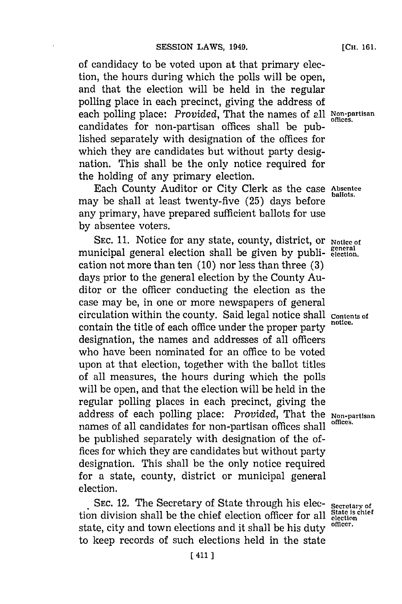of candidacy to be voted upon at that primary election, the hours during which the polls will be open, and that the election will be held in the regular polling place in each precinct, giving the address of each polling place: *Provided*, That the names of all Non-partisan candidates for non-partisan offices shall be published separately with designation of the offices for which they are candidates but without party designation. This shall be the only notice required for the holding of any primary election.

Each County Auditor or City Clerk as the case Absentee may be shall at least twenty-five (25) days before any primary, have prepared sufficient ballots **for** use **by** absentee voters.

SEC. 11. Notice for any state, county, district, or **Notice of** municipal general election shall be given by publi- general cation not more than ten **(10)** nor less than three **(3)** days prior to the general election **by** the County Auditor or the officer conducting the election as the case may be, in one or more newspapers of general circulation within the county. Said legal notice shall **Contents of** contain the title of each office under the proper party designation, the names and addresses of all officers who have been nominated for an office to be voted upon at that election, together with the ballot titles of all measures, the hours during which the polls will be open, and that the election will be held in the regular polling places in each precinct, giving the address of each polling place: *Provided*, That the **Non-partisan** names of all candidates for non-partisan offices shall be published separately with designation of the of  fices for which they are candidates but without party designation. This shall be the only notice required for a state, county, district or municipal general election.

SEC. 12. The Secretary of State through his elec- **Secretary of** n division shall be the chief election officer for all **State is chief** tion division shall be the chief election officer for all **state is**<br>atota, gitter and teurs elections and it shall be his duty officer. state, city and town elections and it shall be his duty to keep records of such elections held in the state

**[CH. 161.**